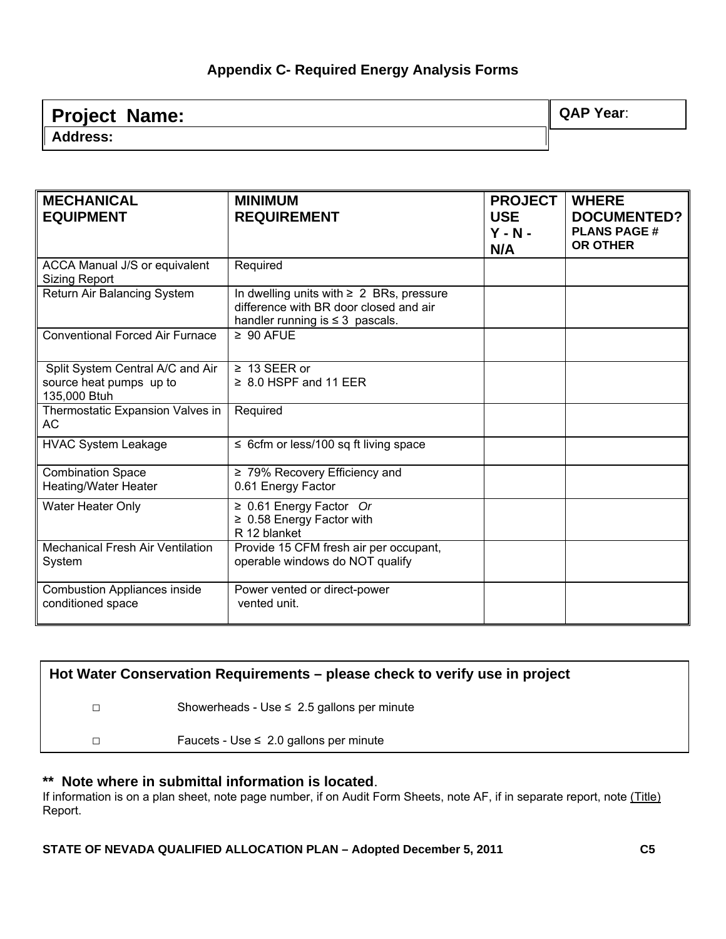#### **Appendix C- Required Energy Analysis Forms**

| <b>Project Name:</b> | <b>QAP Year:</b> |
|----------------------|------------------|
| <b>Address:</b>      |                  |

| <b>MECHANICAL</b><br><b>EQUIPMENT</b>                                       | <b>MINIMUM</b><br><b>REQUIREMENT</b>                                                                                            | <b>PROJECT</b><br><b>USE</b><br>$Y - N -$<br>N/A | <b>WHERE</b><br><b>DOCUMENTED?</b><br><b>PLANS PAGE #</b><br><b>OR OTHER</b> |
|-----------------------------------------------------------------------------|---------------------------------------------------------------------------------------------------------------------------------|--------------------------------------------------|------------------------------------------------------------------------------|
| ACCA Manual J/S or equivalent<br><b>Sizing Report</b>                       | Required                                                                                                                        |                                                  |                                                                              |
| Return Air Balancing System                                                 | In dwelling units with $\geq 2$ BRs, pressure<br>difference with BR door closed and air<br>handler running is $\leq$ 3 pascals. |                                                  |                                                                              |
| <b>Conventional Forced Air Furnace</b>                                      | $\geq 90$ AFUE                                                                                                                  |                                                  |                                                                              |
| Split System Central A/C and Air<br>source heat pumps up to<br>135,000 Btuh | $\geq 13$ SEER or<br>$\geq 8.0$ HSPF and 11 EER                                                                                 |                                                  |                                                                              |
| Thermostatic Expansion Valves in<br>AC.                                     | Required                                                                                                                        |                                                  |                                                                              |
| <b>HVAC System Leakage</b>                                                  | $\leq$ 6cfm or less/100 sq ft living space                                                                                      |                                                  |                                                                              |
| <b>Combination Space</b><br>Heating/Water Heater                            | $\geq$ 79% Recovery Efficiency and<br>0.61 Energy Factor                                                                        |                                                  |                                                                              |
| <b>Water Heater Only</b>                                                    | $\geq 0.61$ Energy Factor Or<br>$\geq$ 0.58 Energy Factor with<br>R 12 blanket                                                  |                                                  |                                                                              |
| <b>Mechanical Fresh Air Ventilation</b><br>System                           | Provide 15 CFM fresh air per occupant,<br>operable windows do NOT qualify                                                       |                                                  |                                                                              |
| <b>Combustion Appliances inside</b><br>conditioned space                    | Power vented or direct-power<br>vented unit.                                                                                    |                                                  |                                                                              |

| Hot Water Conservation Requirements – please check to verify use in project |                                                 |  |
|-----------------------------------------------------------------------------|-------------------------------------------------|--|
|                                                                             | Showerheads - Use $\leq 2.5$ gallons per minute |  |
| □                                                                           | Faucets - Use $\leq 2.0$ gallons per minute     |  |
|                                                                             |                                                 |  |

\*\* **Note where in submittal information is located**.<br>If information is on a plan sheet, note page number, if on Audit Form Sheets, note AF, if in separate report, note (Title) Report.

**STATE OF NEVADA QUALIFIED ALLOCATION PLAN – Adopted December 5, 2011 C5**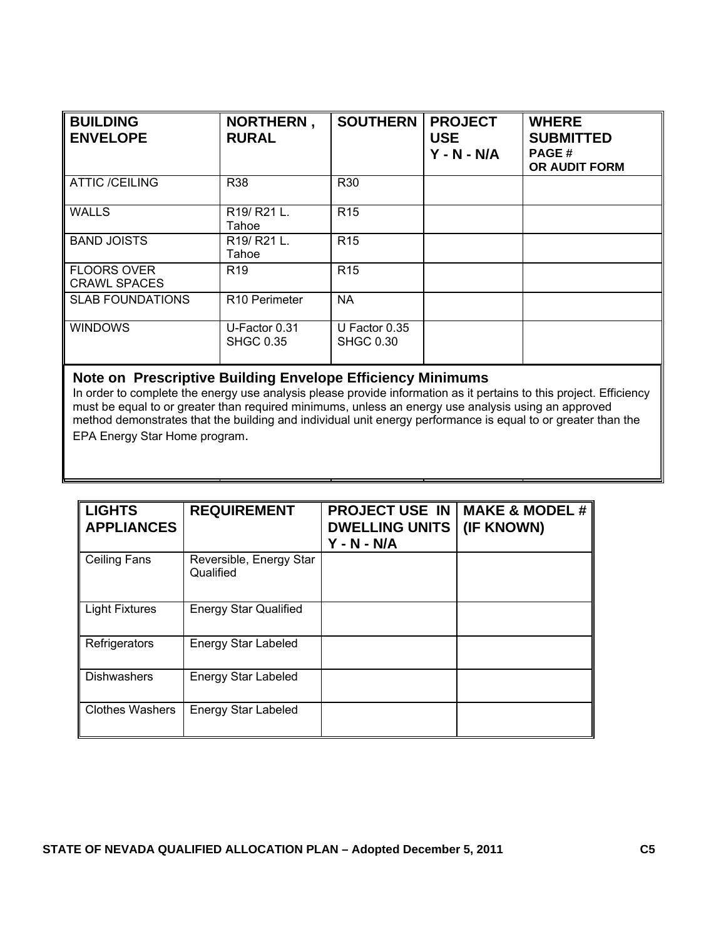| <b>BUILDING</b><br><b>ENVELOPE</b>        | NORTHERN,<br><b>RURAL</b>                    | <b>SOUTHERN</b>                   | <b>PROJECT</b><br><b>USE</b><br>$Y - N - N/A$ | <b>WHERE</b><br><b>SUBMITTED</b><br><b>PAGE#</b><br><b>OR AUDIT FORM</b> |
|-------------------------------------------|----------------------------------------------|-----------------------------------|-----------------------------------------------|--------------------------------------------------------------------------|
| <b>ATTIC /CEILING</b>                     | <b>R38</b>                                   | R <sub>30</sub>                   |                                               |                                                                          |
| <b>WALLS</b>                              | R <sub>19</sub> /R <sub>21</sub> L.<br>Tahoe | R <sub>15</sub>                   |                                               |                                                                          |
| <b>BAND JOISTS</b>                        | R <sub>19</sub> /R <sub>21</sub> L.<br>Tahoe | R <sub>15</sub>                   |                                               |                                                                          |
| <b>FLOORS OVER</b><br><b>CRAWL SPACES</b> | R <sub>19</sub>                              | R <sub>15</sub>                   |                                               |                                                                          |
| <b>SLAB FOUNDATIONS</b>                   | R <sub>10</sub> Perimeter                    | <b>NA</b>                         |                                               |                                                                          |
| <b>WINDOWS</b>                            | U-Factor 0.31<br><b>SHGC 0.35</b>            | U Factor 0.35<br><b>SHGC 0.30</b> |                                               |                                                                          |

# **Note on Prescriptive Building Envelope Efficiency Minimums**

In order to complete the energy use analysis please provide information as it pertains to this project. Efficiency must be equal to or greater than required minimums, unless an energy use analysis using an approved method demonstrates that the building and individual unit energy performance is equal to or greater than the EPA Energy Star Home program.

| <b>LIGHTS</b><br><b>APPLIANCES</b> | <b>REQUIREMENT</b>                   | <b>PROJECT USE IN</b><br><b>DWELLING UNITS</b><br>$Y - N - N/A$ | <b>MAKE &amp; MODEL #</b><br>(IF KNOWN) |
|------------------------------------|--------------------------------------|-----------------------------------------------------------------|-----------------------------------------|
| Ceiling Fans                       | Reversible, Energy Star<br>Qualified |                                                                 |                                         |
| <b>Light Fixtures</b>              | <b>Energy Star Qualified</b>         |                                                                 |                                         |
| Refrigerators                      | <b>Energy Star Labeled</b>           |                                                                 |                                         |
| <b>Dishwashers</b>                 | Energy Star Labeled                  |                                                                 |                                         |
| <b>Clothes Washers</b>             | <b>Energy Star Labeled</b>           |                                                                 |                                         |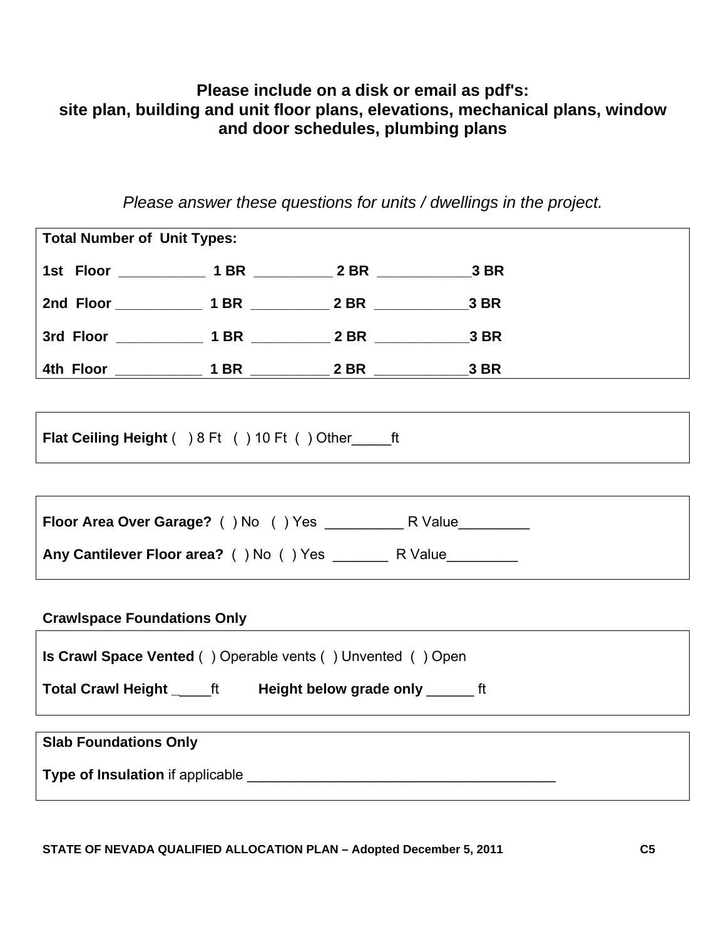## **Please include on a disk or email as pdf's: site plan, building and unit floor plans, elevations, mechanical plans, window and door schedules, plumbing plans**

*Please answer these questions for units / dwellings in the project.* 

|                                                                                                                                                                                                                                      | <b>Total Number of Unit Types:</b> |  |  |  |  |
|--------------------------------------------------------------------------------------------------------------------------------------------------------------------------------------------------------------------------------------|------------------------------------|--|--|--|--|
| 1st Floor ______________ 1 BR ____________ 2 BR ________________3 BR                                                                                                                                                                 |                                    |  |  |  |  |
|                                                                                                                                                                                                                                      |                                    |  |  |  |  |
| 3rd Floor ______________ 1 BR ____________ 2 BR ________________3 BR                                                                                                                                                                 |                                    |  |  |  |  |
|                                                                                                                                                                                                                                      |                                    |  |  |  |  |
|                                                                                                                                                                                                                                      |                                    |  |  |  |  |
| <b>Flat Ceiling Height</b> ( ) 8 Ft ( ) 10 Ft ( ) Other ft                                                                                                                                                                           |                                    |  |  |  |  |
|                                                                                                                                                                                                                                      |                                    |  |  |  |  |
|                                                                                                                                                                                                                                      |                                    |  |  |  |  |
|                                                                                                                                                                                                                                      |                                    |  |  |  |  |
|                                                                                                                                                                                                                                      |                                    |  |  |  |  |
| <b>Crawlspace Foundations Only</b>                                                                                                                                                                                                   |                                    |  |  |  |  |
| <b>Is Crawl Space Vented ()</b> Operable vents () Unvented () Open                                                                                                                                                                   |                                    |  |  |  |  |
| Total Crawl Height ______ ft Height below grade only _________ ft                                                                                                                                                                    |                                    |  |  |  |  |
| <b>Slab Foundations Only</b>                                                                                                                                                                                                         |                                    |  |  |  |  |
|                                                                                                                                                                                                                                      |                                    |  |  |  |  |
| Type of Insulation if applicable <b>contained a set of the set of the set of the set of the set of the set of the set of the set of the set of the set of the set of the set of the set of the set of the set of the set of the </b> |                                    |  |  |  |  |
|                                                                                                                                                                                                                                      |                                    |  |  |  |  |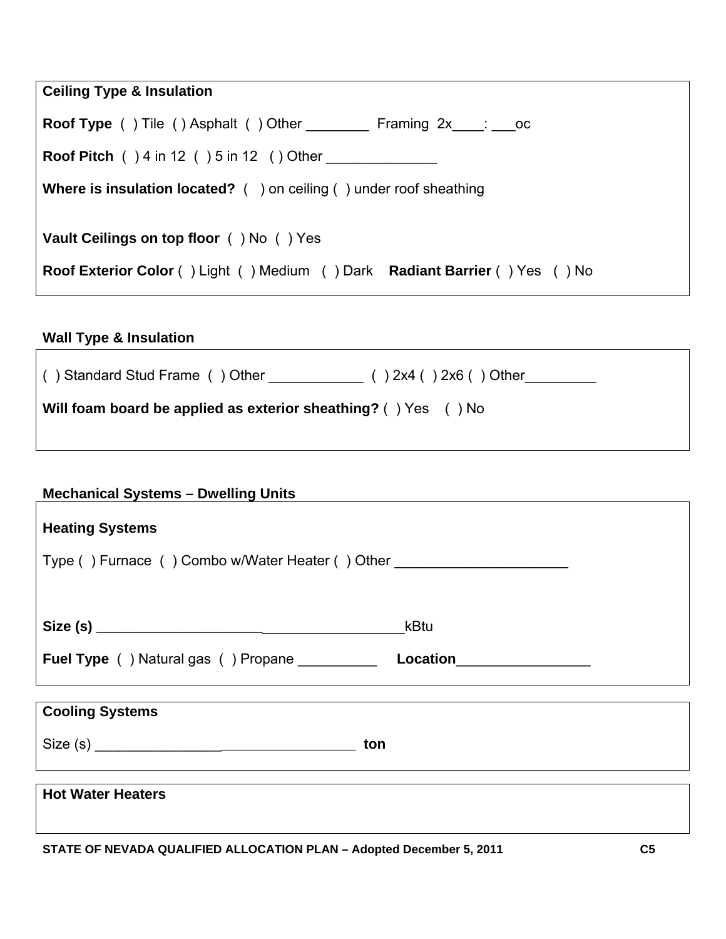| <b>Ceiling Type &amp; Insulation</b>                                                                                    |  |  |
|-------------------------------------------------------------------------------------------------------------------------|--|--|
| <b>Roof Type</b> () Tile () Asphalt () Other Framing 2x : oc                                                            |  |  |
| <b>Roof Pitch</b> ( ) 4 in 12 ( ) 5 in 12 ( ) Other                                                                     |  |  |
| <b>Where is insulation located?</b> $($ $)$ on ceiling $($ $)$ under roof sheathing                                     |  |  |
| Vault Ceilings on top floor () No () Yes<br>Roof Exterior Color () Light () Medium () Dark Radiant Barrier () Yes () No |  |  |
|                                                                                                                         |  |  |

#### **Wall Type & Insulation**

 $\overline{\phantom{a}}$ 

| () Standard Stud Frame () Other $($ $)$ $\frac{1}{2}$ () $2x4$ () $2x6$ () Other |  |
|----------------------------------------------------------------------------------|--|
| Will foam board be applied as exterior sheathing? () Yes () No                   |  |

### **Mechanical Systems – Dwelling Units**

| <b>Heating Systems</b>                                                           |                          |
|----------------------------------------------------------------------------------|--------------------------|
| Type () Furnace () Combo w/Water Heater () Other _______________________________ |                          |
|                                                                                  |                          |
|                                                                                  | kBtu                     |
| <b>Fuel Type</b> () Natural gas () Propane __________                            | Location________________ |
|                                                                                  |                          |
| <b>Cooling Systems</b>                                                           |                          |
| Size (s)<br>ton                                                                  |                          |
|                                                                                  |                          |
| <b>Hot Water Heaters</b>                                                         |                          |

**STATE OF NEVADA QUALIFIED ALLOCATION PLAN – Adopted December 5, 2011 C5** 

٦